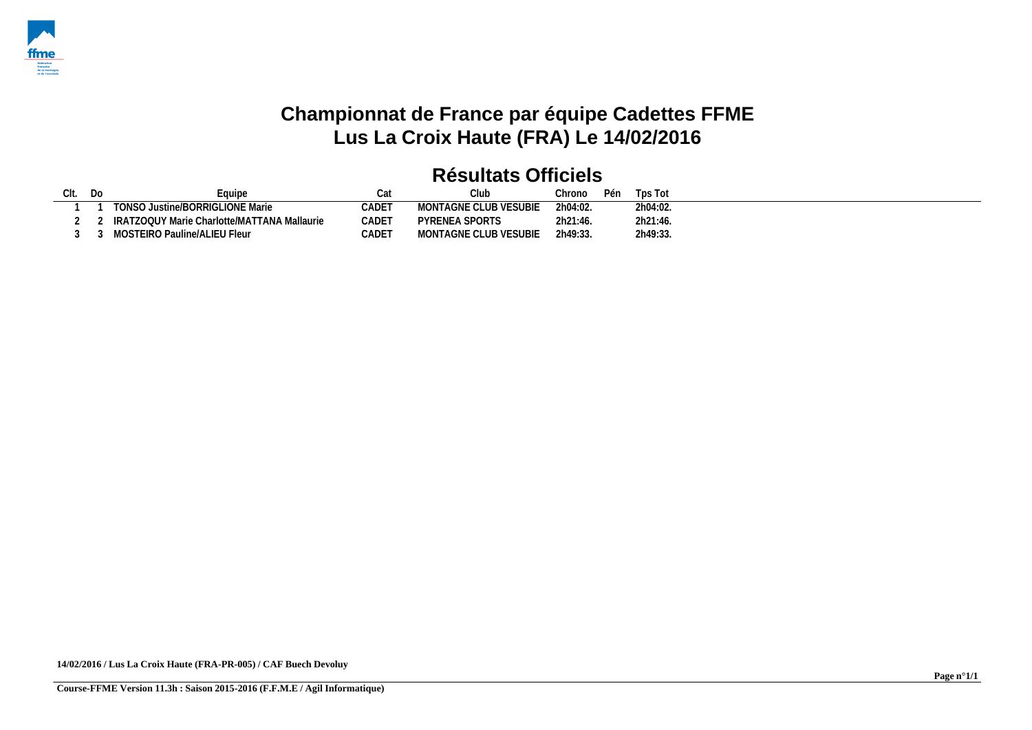

# **Championnat de France par équipe Cadettes FFME Lus La Croix Haute (FRA) Le 14/02/2016**

| Clt. Do | Equipe                                        |       |                       | Chrono   | Pén | Tps Tot  |  |  |
|---------|-----------------------------------------------|-------|-----------------------|----------|-----|----------|--|--|
|         | TONSO Justine/BORRIGLIONE Marie               | CADET | MONTAGNE CLUB VESUBIE | 2h04:02. |     | 2h04:02. |  |  |
|         | ! IRATZOQUY Marie Charlotte/MATTANA Mallaurie | CADET | PYRENEA SPORTS        | 2h21:46. |     | 2h21:46. |  |  |
|         | 3 3 MOSTEIRO Pauline/ALIEU Fleur              | CADET | MONTAGNE CLUB VESUBIE | 2h49:33  |     | 2h49:33. |  |  |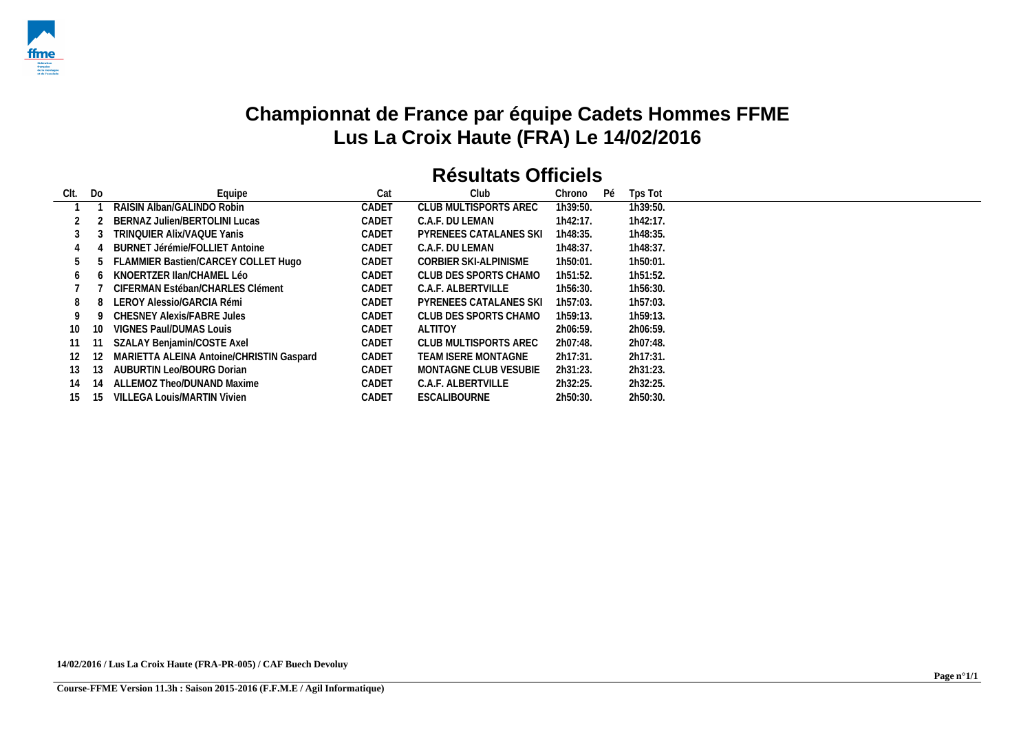

## **Championnat de France par équipe Cadets Hommes FFME Lus La Croix Haute (FRA) Le 14/02/2016**

| CIt. | Do  | Equipe                                   | Cat   | Club                          | Chrono   | Pé | Tps Tot  |
|------|-----|------------------------------------------|-------|-------------------------------|----------|----|----------|
|      |     | RAISIN Alban/GALINDO Robin               | CADET | CLUB MULTISPORTS AREC         | 1h39:50. |    | 1h39:50. |
|      |     | BERNAZ Julien/BERTOLINI Lucas            | CADET | C.A.F. DU LEMAN               | 1h42:17. |    | 1h42:17. |
| 3    |     | TRINQUIER Alix/VAQUE Yanis               | CADET | <b>PYRENEES CATALANES SKI</b> | 1h48:35. |    | 1h48:35. |
| 4    |     | BURNET Jérémie/FOLLIET Antoine           | CADET | C.A.F. DU LEMAN               | 1h48:37. |    | 1h48:37. |
|      |     | FLAMMIER Bastien/CARCEY COLLET Hugo      | CADET | CORBIER SKI-ALPINISME         | 1h50:01. |    | 1h50:01. |
| 6    |     | KNOERTZER IIan/CHAMEL Léo                | CADET | CLUB DES SPORTS CHAMO         | 1h51:52. |    | 1h51:52. |
|      |     | CIFERMAN Estéban/CHARLES Clément         | CADET | C.A.F. ALBERTVILLE            | 1h56:30. |    | 1h56:30. |
| 8    |     | LEROY Alessio/GARCIA Rémi                | CADET | <b>PYRENEES CATALANES SKI</b> | 1h57:03. |    | 1h57:03. |
| 9    |     | CHESNEY Alexis/FABRE Jules               | CADET | CLUB DES SPORTS CHAMO         | 1h59:13. |    | 1h59:13. |
| 10   | 10  | VIGNES Paul/DUMAS Louis                  | CADET | <b>ALTITOY</b>                | 2h06:59. |    | 2h06:59. |
| 11   |     | SZALAY Benjamin/COSTE Axel               | CADET | CLUB MULTISPORTS AREC         | 2h07:48. |    | 2h07:48. |
| 12   | 12. | MARIETTA ALEINA Antoine/CHRISTIN Gaspard | CADET | TEAM ISERE MONTAGNE           | 2h17:31. |    | 2h17:31. |
| 13   | 13  | AUBURTIN Leo/BOURG Dorian                | CADET | MONTAGNE CLUB VESUBIE         | 2h31:23. |    | 2h31:23. |
| 14   | 14  | ALLEMOZ Theo/DUNAND Maxime               | CADET | C.A.F. ALBERTVILLE            | 2h32:25. |    | 2h32:25. |
| 15   | 15  | <b>VILLEGA Louis/MARTIN Vivien</b>       | CADET | <b>ESCALIBOURNE</b>           | 2h50:30. |    | 2h50:30. |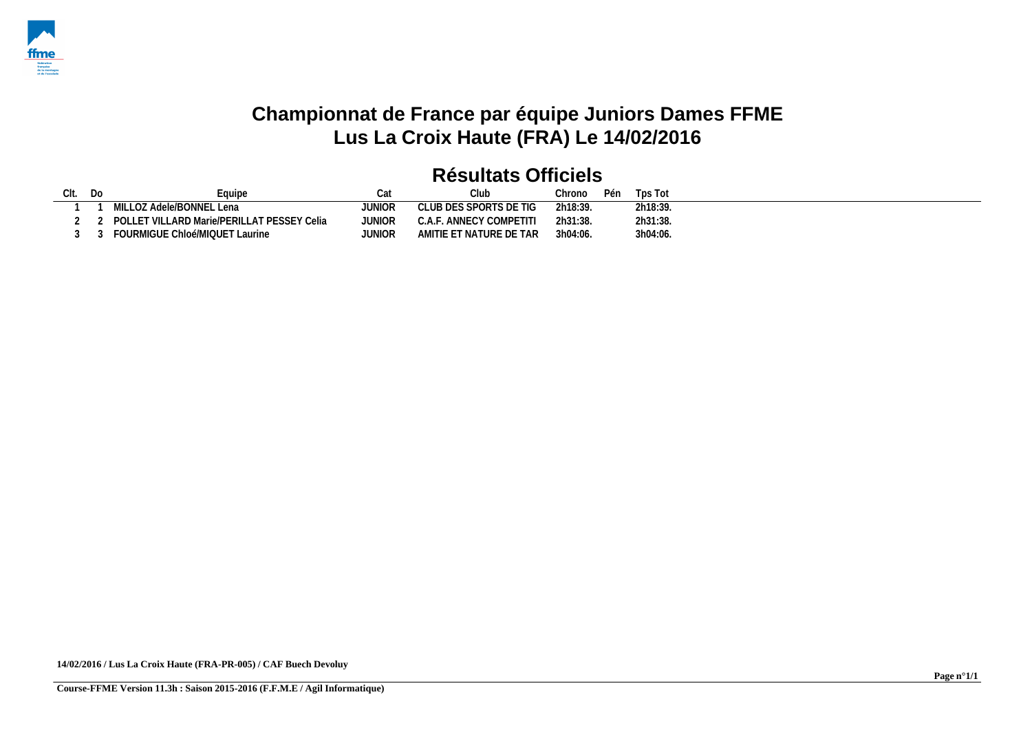

## **Championnat de France par équipe Juniors Dames FFME Lus La Croix Haute (FRA) Le 14/02/2016**

| Clt. Do | Equipe                                     |        |                         | Chrono   | Pén | Tps Tot  |
|---------|--------------------------------------------|--------|-------------------------|----------|-----|----------|
|         | MILLOZ Adele/BONNEL Lena                   | JUNIOR | CLUB DES SPORTS DE TIG  | 2h18:39. |     | 2h18:39. |
|         | POLLET VILLARD Marie/PERILLAT PESSEY Celia | JUNIOR | C.A.F. ANNECY COMPETITI | 2h31:38. |     | 2h31:38. |
|         | FOURMIGUE Chloé/MIQUET Laurine             | JUNIOR | AMITIE ET NATURE DE TAR | 3h04:06. |     | 3h04:06. |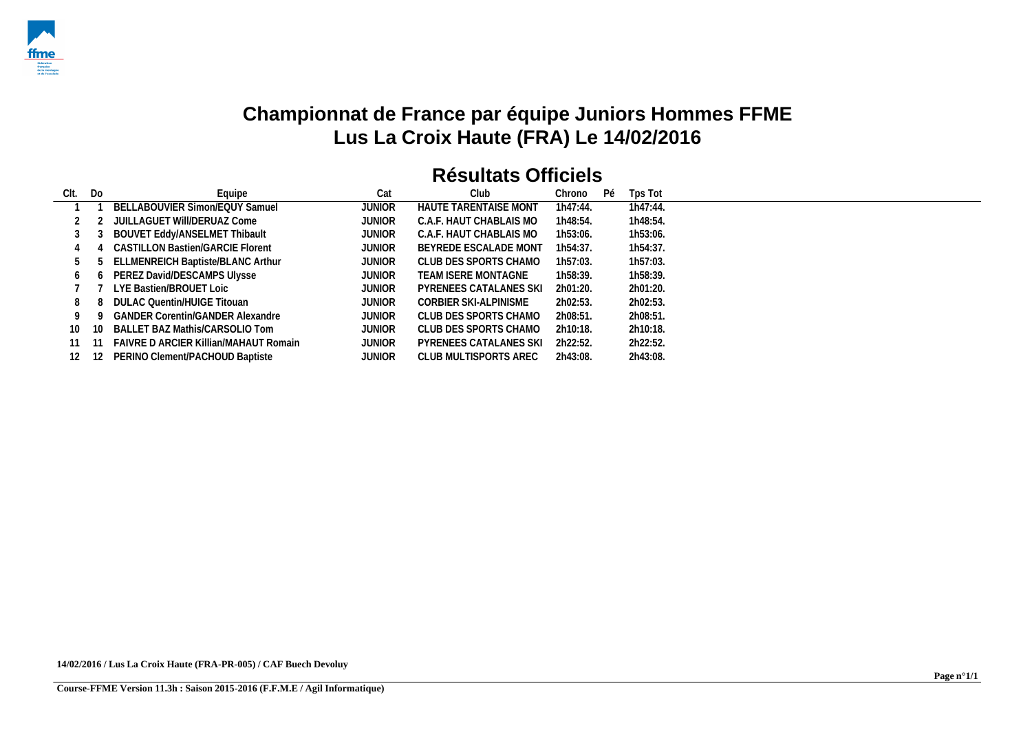

## **Championnat de France par équipe Juniors Hommes FFME Lus La Croix Haute (FRA) Le 14/02/2016**

| CIt. | Do    | Equipe                                       | Cat           | Club                          | Chrono   | Pé | Tps Tot  |
|------|-------|----------------------------------------------|---------------|-------------------------------|----------|----|----------|
|      |       | BELLABOUVIER Simon/EQUY Samuel               | <b>JUNIOR</b> | <b>HAUTE TARENTAISE MONT</b>  | 1h47:44. |    | 1h47:44. |
|      |       | JUILLAGUET WIII/DERUAZ Come                  | <b>JUNIOR</b> | C.A.F. HAUT CHABLAIS MO       | 1h48:54. |    | 1h48:54. |
|      |       | BOUVET Eddy/ANSELMET Thibault                | <b>JUNIOR</b> | C.A.F. HAUT CHABLAIS MO       | 1h53:06. |    | 1h53:06. |
|      |       | CASTILLON Bastien/GARCIE Florent             | <b>JUNIOR</b> | BEYREDE ESCALADE MONT         | 1h54:37. |    | 1h54:37. |
|      |       | ELLMENREICH Baptiste/BLANC Arthur            | <b>JUNIOR</b> | CLUB DES SPORTS CHAMO         | 1h57:03. |    | 1h57:03. |
| 6    |       | PEREZ David/DESCAMPS Ulysse                  | <b>JUNIOR</b> | TEAM ISERE MONTAGNE           | 1h58:39. |    | 1h58:39. |
|      |       | LYE Bastien/BROUET Loic                      | <b>JUNIOR</b> | <b>PYRENEES CATALANES SKI</b> | 2h01:20. |    | 2h01:20. |
| 8    |       | DULAC Quentin/HUIGE Titouan                  | <b>JUNIOR</b> | CORBIER SKI-ALPINISME         | 2h02:53. |    | 2h02:53. |
| 9    |       | <b>GANDER Corentin/GANDER Alexandre</b>      | <b>JUNIOR</b> | CLUB DES SPORTS CHAMO         | 2h08:51. |    | 2h08:51. |
| 10.  | 10    | BALLET BAZ Mathis/CARSOLIO Tom               | <b>JUNIOR</b> | CLUB DES SPORTS CHAMO         | 2h10:18. |    | 2h10:18. |
|      |       | <b>FAIVRE D ARCIER Killian/MAHAUT Romain</b> | <b>JUNIOR</b> | <b>PYRENEES CATALANES SKI</b> | 2h22:52. |    | 2h22:52. |
| 12   | -12 - | PERINO Clement/PACHOUD Baptiste              | <b>JUNIOR</b> | CLUB MULTISPORTS AREC         | 2h43:08. |    | 2h43:08. |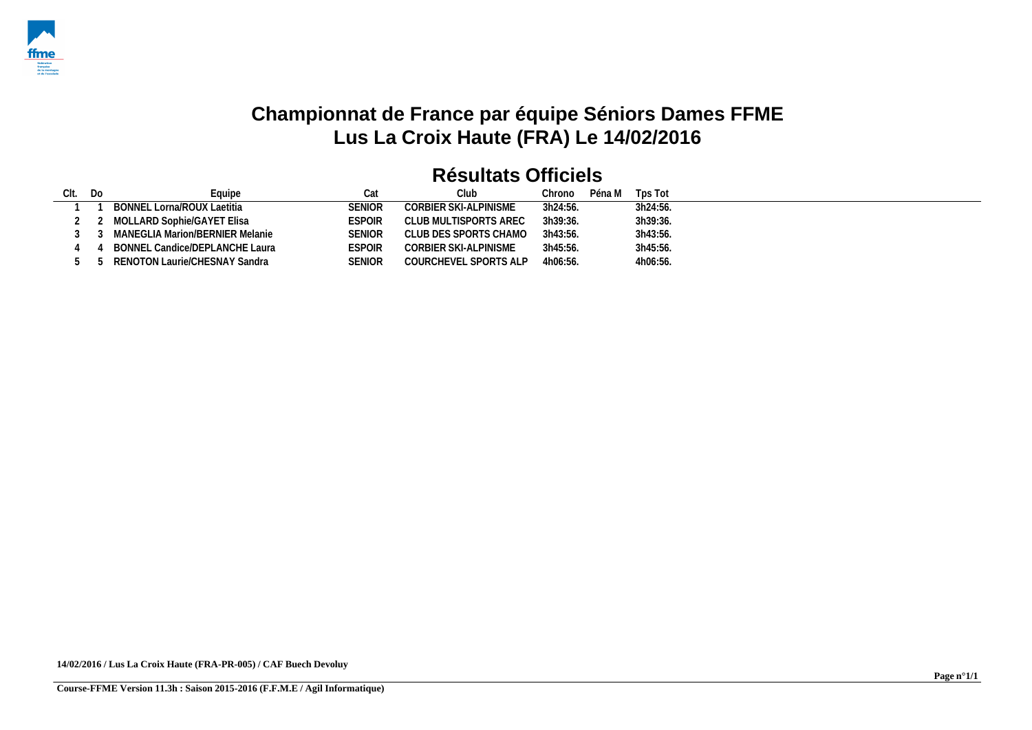

## **Championnat de France par équipe Séniors Dames FFME Lus La Croix Haute (FRA) Le 14/02/2016**

| Clt. | - Do | -quipe                            | Cat           | Club.                 | Chrono   | Péna M | Tps Tot  |
|------|------|-----------------------------------|---------------|-----------------------|----------|--------|----------|
|      |      | BONNEL Lorna/ROUX Laetitia        | SENIOR        | CORBIER SKI-ALPINISME | 3h24:56. |        | 3h24:56. |
|      |      | 2 MOLLARD Sophie/GAYET Elisa      | ESPOIR        | CLUB MULTISPORTS AREC | 3h39:36. |        | 3h39:36. |
|      |      | MANEGLIA Marion/BERNIER Melanie   | <b>SENIOR</b> | CLUB DES SPORTS CHAMO | 3h43:56. |        | 3h43:56. |
|      |      | BONNEL Candice/DEPLANCHE Laura    | <b>ESPOIR</b> | CORBIER SKI-ALPINISME | 3h45:56. |        | 3h45:56. |
|      |      | 5 5 RENOTON Laurie/CHESNAY Sandra | SENIOR        | COURCHEVEL SPORTS ALP | 4h06:56. |        | 4h06:56. |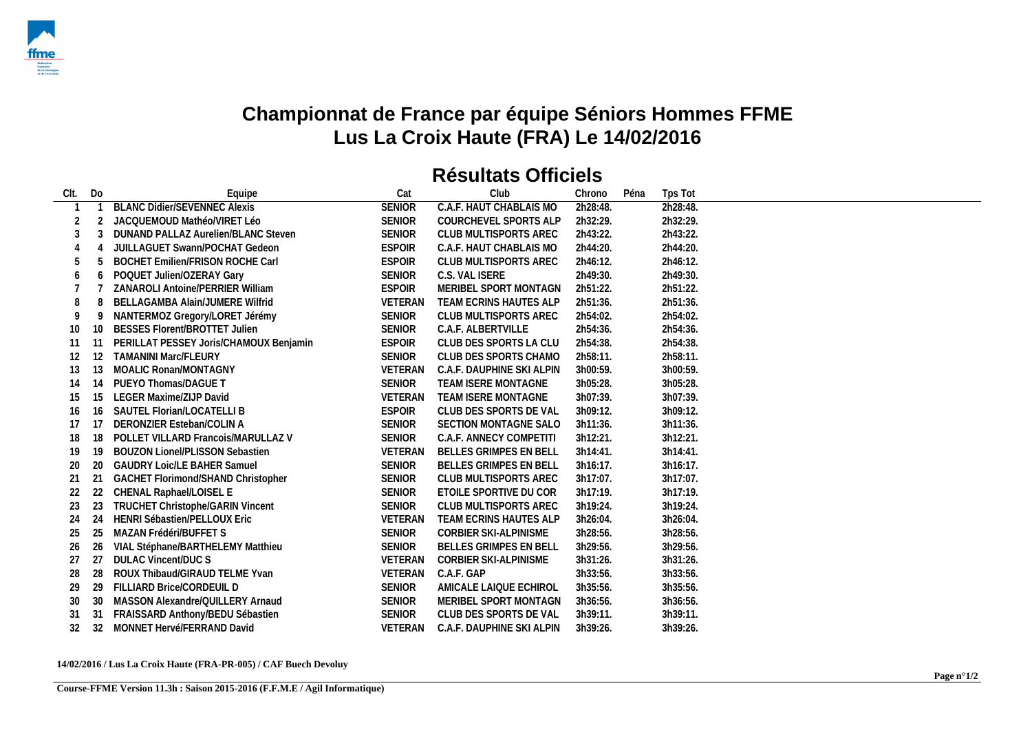

## **Championnat de France par équipe Séniors Hommes FFME Lus La Croix Haute (FRA) Le 14/02/2016**

#### **Résultats Officiels**

| CIt. | Do | Equipe                                  | Cat            | Club                          | Chrono   | Péna | Tps Tot  |
|------|----|-----------------------------------------|----------------|-------------------------------|----------|------|----------|
|      |    | <b>BLANC Didier/SEVENNEC Alexis</b>     | <b>SENIOR</b>  | C.A.F. HAUT CHABLAIS MO       | 2h28:48. |      | 2h28:48. |
|      |    | JACQUEMOUD Mathéo/VIRET Léo             | <b>SENIOR</b>  | COURCHEVEL SPORTS ALP         | 2h32:29. |      | 2h32:29. |
|      |    | DUNAND PALLAZ Aurelien/BLANC Steven     | <b>SENIOR</b>  | <b>CLUB MULTISPORTS AREC</b>  | 2h43:22. |      | 2h43:22. |
|      |    | <b>JUILLAGUET Swann/POCHAT Gedeon</b>   | <b>ESPOIR</b>  | C.A.F. HAUT CHABLAIS MO       | 2h44:20. |      | 2h44:20. |
|      |    | <b>BOCHET Emilien/FRISON ROCHE Carl</b> | <b>ESPOIR</b>  | CLUB MULTISPORTS AREC         | 2h46:12. |      | 2h46:12. |
|      | O  | POQUET Julien/OZERAY Gary               | <b>SENIOR</b>  | C.S. VAL ISERE                | 2h49:30. |      | 2h49:30. |
|      |    | ZANAROLI Antoine/PERRIER William        | <b>ESPOIR</b>  | MERIBEL SPORT MONTAGN         | 2h51:22. |      | 2h51:22. |
|      | 8  | BELLAGAMBA Alain/JUMERE Wilfrid         | <b>VETERAN</b> | TEAM ECRINS HAUTES ALP        | 2h51:36. |      | 2h51:36. |
| 9    | 9  | NANTERMOZ Gregory/LORET Jérémy          | <b>SENIOR</b>  | <b>CLUB MULTISPORTS AREC</b>  | 2h54:02. |      | 2h54:02. |
| 10   |    | <b>BESSES Florent/BROTTET Julien</b>    | <b>SENIOR</b>  | C.A.F. ALBERTVILLE            | 2h54:36. |      | 2h54:36. |
| -11  |    | PERILLAT PESSEY Joris/CHAMOUX Benjamin  | <b>ESPOIR</b>  | CLUB DES SPORTS LA CLU        | 2h54:38. |      | 2h54:38. |
| 12   | 12 | <b>TAMANINI Marc/FLEURY</b>             | <b>SENIOR</b>  | CLUB DES SPORTS CHAMO         | 2h58:11. |      | 2h58:11. |
| 13   | 13 | <b>MOALIC Ronan/MONTAGNY</b>            | VETERAN        | C.A.F. DAUPHINE SKI ALPIN     | 3h00:59. |      | 3h00:59. |
| 14   | 14 | PUEYO Thomas/DAGUE T                    | <b>SENIOR</b>  | TEAM ISERE MONTAGNE           | 3h05:28. |      | 3h05:28. |
| 15   | 15 | LEGER Maxime/ZIJP David                 | VETERAN        | TEAM ISERE MONTAGNE           | 3h07:39. |      | 3h07:39. |
| 16   | 16 | SAUTEL Florian/LOCATELLI B              | <b>ESPOIR</b>  | CLUB DES SPORTS DE VAL        | 3h09:12. |      | 3h09:12. |
| 17   | 17 | DERONZIER Esteban/COLIN A               | <b>SENIOR</b>  | SECTION MONTAGNE SALO         | 3h11:36. |      | 3h11:36. |
| 18   | 18 | POLLET VILLARD Francois/MARULLAZ V      | <b>SENIOR</b>  | C.A.F. ANNECY COMPETITI       | 3h12:21. |      | 3h12:21. |
| 19   | 19 | <b>BOUZON Lionel/PLISSON Sebastien</b>  | <b>VETERAN</b> | BELLES GRIMPES EN BELL        | 3h14:41. |      | 3h14:41. |
| 20   | 20 | <b>GAUDRY Loic/LE BAHER Samuel</b>      | <b>SENIOR</b>  | <b>BELLES GRIMPES EN BELL</b> | 3h16:17. |      | 3h16:17. |
| 21   | 21 | GACHET Florimond/SHAND Christopher      | <b>SENIOR</b>  | <b>CLUB MULTISPORTS AREC</b>  | 3h17:07. |      | 3h17:07. |
| 22   | 22 | CHENAL Raphael/LOISEL E                 | <b>SENIOR</b>  | ETOILE SPORTIVE DU COR        | 3h17:19. |      | 3h17:19. |
| 23   | 23 | <b>TRUCHET Christophe/GARIN Vincent</b> | <b>SENIOR</b>  | <b>CLUB MULTISPORTS AREC</b>  | 3h19:24. |      | 3h19:24. |
| 24   | 24 | <b>HENRI Sébastien/PELLOUX Eric</b>     | VETERAN        | <b>TEAM ECRINS HAUTES ALP</b> | 3h26:04. |      | 3h26:04. |
| 25   | 25 | MAZAN Frédéri/BUFFET S                  | <b>SENIOR</b>  | CORBIER SKI-ALPINISME         | 3h28:56. |      | 3h28:56. |
| 26   | 26 | VIAL Stéphane/BARTHELEMY Matthieu       | <b>SENIOR</b>  | BELLES GRIMPES EN BELL        | 3h29:56. |      | 3h29:56. |
| 27   | 27 | <b>DULAC Vincent/DUC S</b>              | VETERAN        | CORBIER SKI-ALPINISME         | 3h31:26. |      | 3h31:26. |
| 28   | 28 | ROUX Thibaud/GIRAUD TELME Yvan          | VETERAN        | C.A.F. GAP                    | 3h33:56. |      | 3h33:56. |
| 29   | 29 | FILLIARD Brice/CORDEUIL D               | <b>SENIOR</b>  | AMICALE LAIQUE ECHIROL        | 3h35:56. |      | 3h35:56. |
| 30   | 30 | MASSON Alexandre/QUILLERY Arnaud        | <b>SENIOR</b>  | MERIBEL SPORT MONTAGN         | 3h36:56. |      | 3h36:56. |
| 31   | 31 | FRAISSARD Anthony/BEDU Sébastien        | <b>SENIOR</b>  | CLUB DES SPORTS DE VAL        | 3h39:11. |      | 3h39:11. |
| 32   | 32 | MONNET Hervé/FERRAND David              | VETERAN        | C.A.F. DAUPHINE SKI ALPIN     | 3h39:26. |      | 3h39:26. |

#### **14/02/2016 / Lus La Croix Haute (FRA-PR-005) / CAF Buech Devoluy**